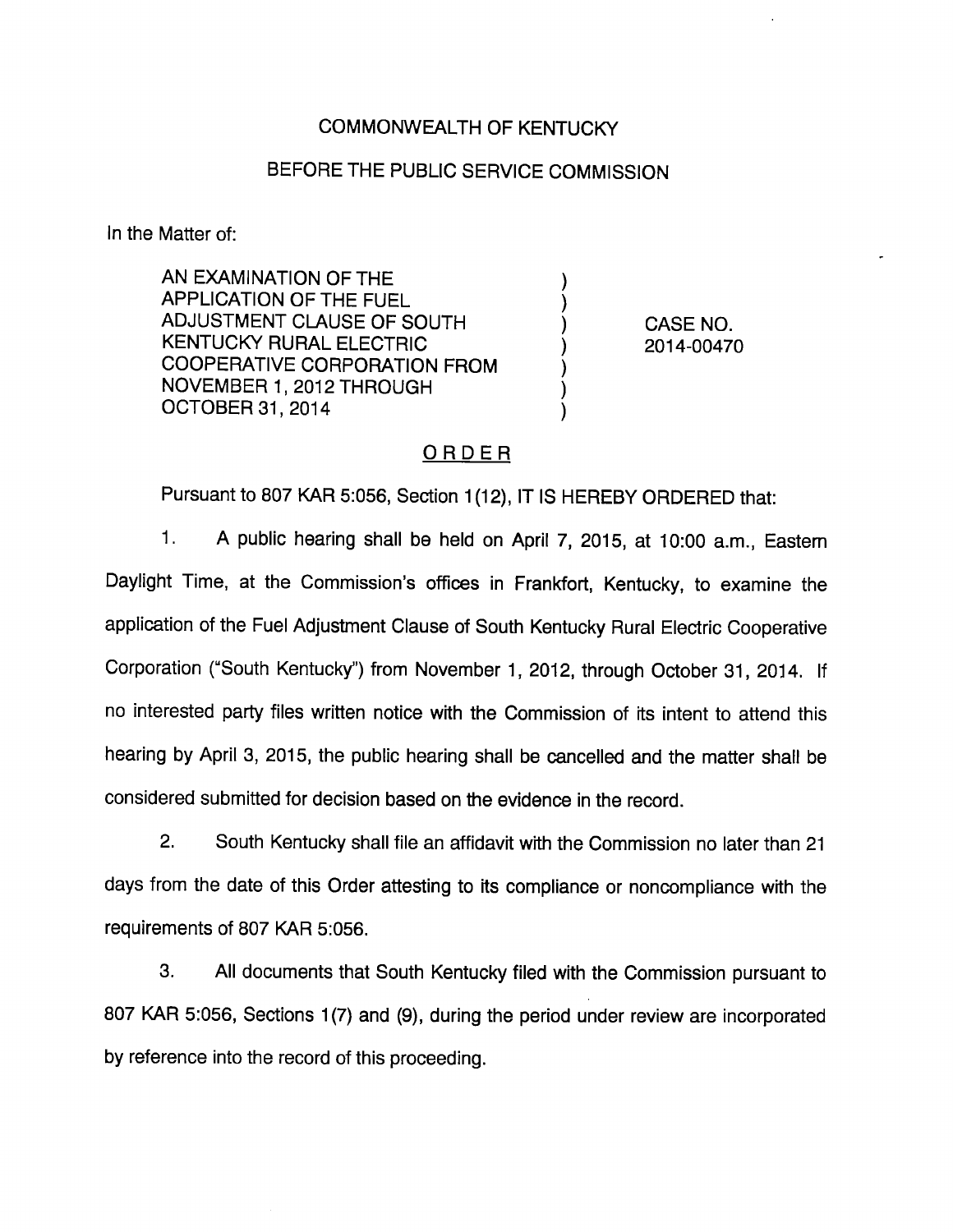## COMMONWEALTH OF KENTUCKY

## BEFORE THE PUBLIC SERVICE COMMISSION

In the Matter of:

AN EXAMINATION OF THE APPLICATION OF THE FUEL ADJUSTMENT CLAUSE OF SOUTH ) CASE NO. KENTUCKY RURAL ELECTRIC (2014-00470 COOPERATIVE CORPORATION FROM NOVEMBER 1, 2012 THROUGH OCTOBER 31, 2014

# ORDER

Pursuant to 807 KAR 5:056, Section 1(12), IT IS HEREBY ORDERED that:

1. A public hearing shall be held on April 7, 2015, at 10:00 a.m., Eastem Daylight Time, at the Commission's offices in Frankfort, Kentucky, to examine the application of the Fuel Adjustment Clause of South Kentucky Rural Electric Cooperative Corporation ("South Kentucky") from November 1, 2012, through October 31, 2014. If no interested party files written notice with the Commission of its intent to attend this hearing by April 3, 2015, the public hearing shall be cancelled and the matter shall be considered submitted for decision based on the evidence in the record.

2. South Kentucky shall file an affidavit with the Commission no later than 21 days from the date of this Order attesting to its compliance or noncompliance with the requirements of 807 KAR 5:056.

3. All documents that South Kentucky filed with the Commission pursuant to 807 KAR 5:056, Sections 1(7) and (9), during the period under review are incorporated by reference into the record of this proceeding.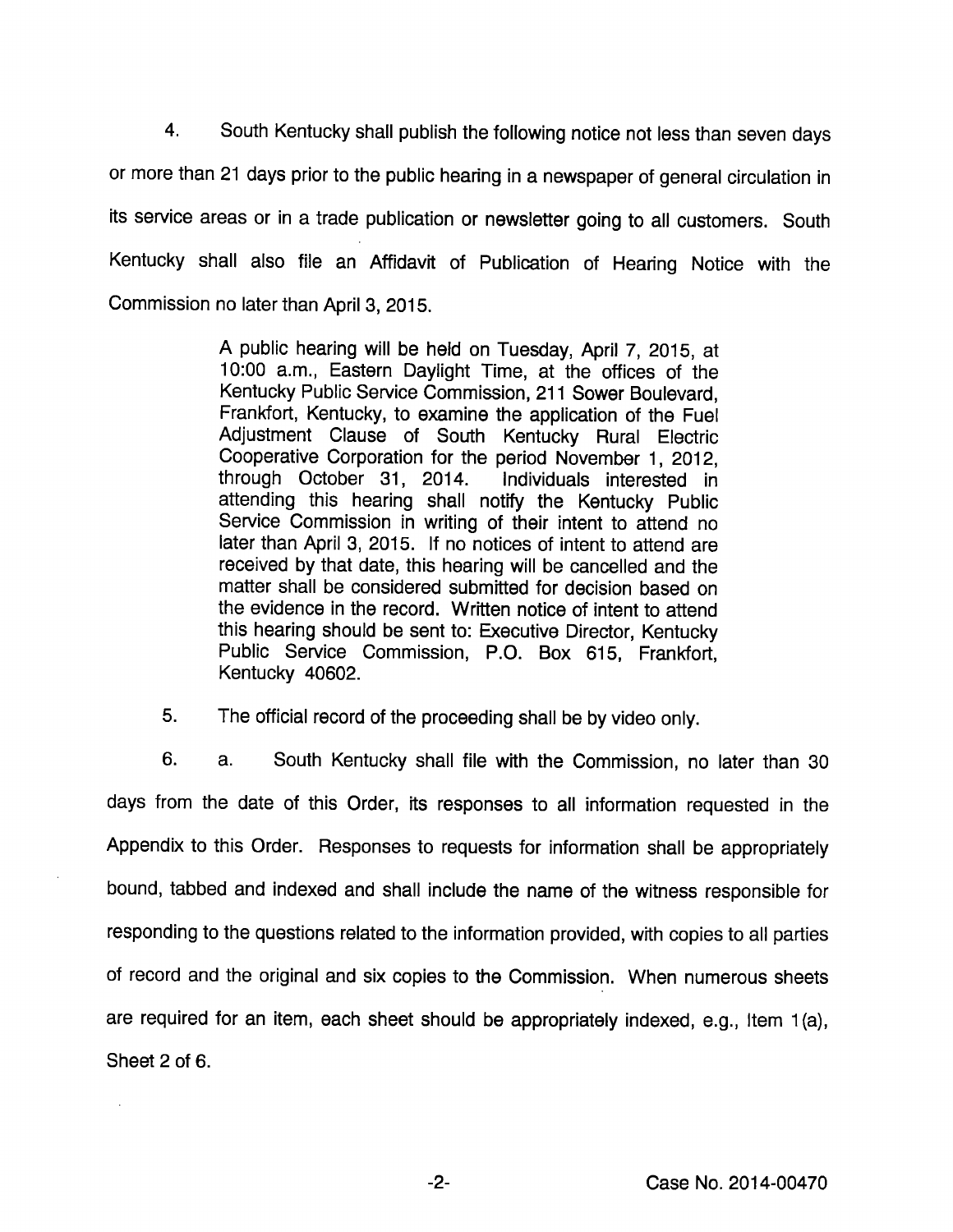4. South Kentucky shall publish the following notice not lessthan seven days or more than 21 days prior to the public hearing in a newspaper of general circulation in its service areas or in a trade publication or newsletter going to all customers. South Kentucky shall also file an Affidavit of Publication of Hearing Notice with the Commission no later than April 3, 2015.

> A public hearing will be held on Tuesday, April 7, 2015, at 10:00 a.m.. Eastern Daylight Time, at the offices of the Kentucky Public Service Commission, 211 Sower Boulevard, Frankfort, Kentucky, to examine the application of the Fuel Adjustment Clause of South Kentucky Rural Electric Cooperative Corporation for the period November 1, 2012, through October 31, 2014. Individuals interested in attending this hearing shall notify the Kentucky Public Service Commission in writing of their intent to attend no later than April 3, 2015. If no notices of intent to attend are received by that date, this hearing will be cancelled and the matter shall be considered submitted for decision based on the evidence in the record. Written notice of intent to attend this hearing should be sent to: Executive Director, Kentucky Public Service Commission, P.O. Box 615, Frankfort, Kentucky 40602.

5. The official record of the proceeding shall be by video only.

6. a. South Kentucky shall file with the Commission, no later than 30 days from the date of this Order, its responses to all information requested in the Appendix to this Order. Responses to requests for information shall be appropriately bound, tabbed and indexed and shall include the name of the witness responsible for responding to the questions related to the information provided, with copies to all parties of record and the original and six copies to the Commission. When numerous sheets are required for an item, each sheet should be appropriately indexed, e.g.. Item 1(a), Sheet 2 of 6.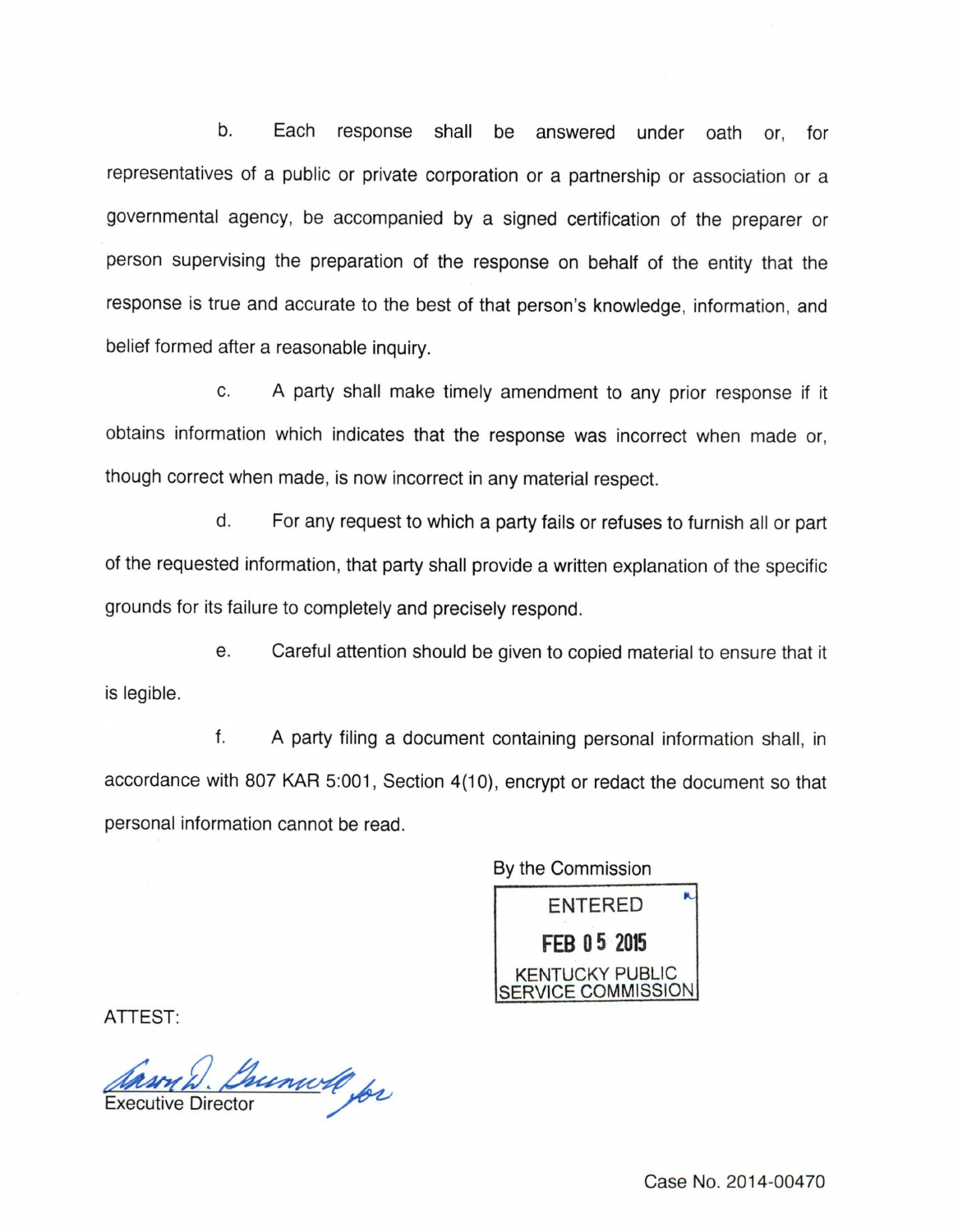b. Each response shall be answered under oath or, for representatives of a public or private corporation or a partnership or association or a governmental agency, be accompanied by a signed certification of the preparer or person supervising the preparation of the response on behalf of the entity that the response is true and accurate to the best of that person's knowledge, information, and belief formed after a reasonable inquiry.

c. A party shall make timely amendment to any prior response if it obtains information which indicates that the response was incorrect when made or, though correct when made, is now incorrect in any material respect.

d. For any request to which a party fails or refuses to furnish all or part of the requested information, that party shall provide a written explanation of the specific grounds for its failure to completely and precisely respond.

e. Careful attention should be given to copied material to ensure that it is legible.

f. A party filing a document containing personal information shall, in accordance with 807 KAR 5:001, Section 4(10), encrypt or redact the document so that personal information cannot be read.

By the Commission ENTERED FEB 0 5 2015 KENTUCKY PUBLIC COMMISSION

ATTEST:

Anson D. Bunwell for

Case No. 2014-00470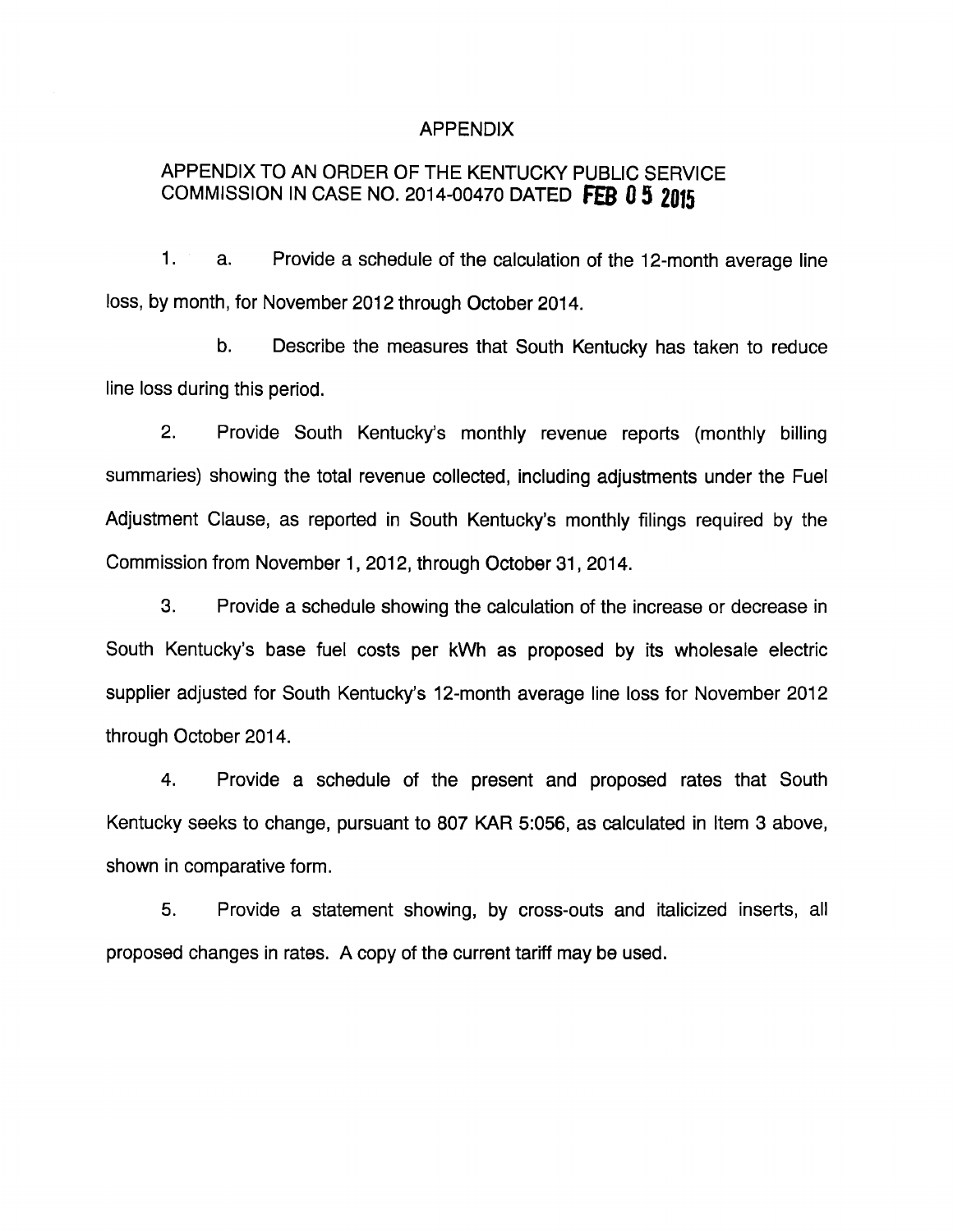#### APPENDIX

# APPENDIX TO AN ORDER OF THE KENTUCKY PUBLIC SERVICE COMMISSION IN CASE NO. 2014-00470 DATED FEB 0 5 2015

1. a. Provide a schedule of the calculation of the 12-month average line loss, by month, for November 2012 through October 2014.

b. Describe the measures that South Kentucky has taken to reduce line loss during this period.

2. Provide South Kentucky's monthly revenue reports (monthly billing summaries) showing the total revenue collected, including adjustments under the Fuel Adjustment Clause, as reported in South Kentucky's monthly filings required by the Commission from November 1, 2012, through October 31, 2014.

3. Provide a schedule showing the calculation of the increase or decrease in South Kentucky's base fuel costs per kWh as proposed by its wholesale electric supplier adjusted for South Kentucky's 12-month average line loss for November 2012 through October 2014.

4. Provide a schedule of the present and proposed rates that South Kentucky seeks to change, pursuant to 807 KAR 5:056, as calculated in Item 3 above, shown in comparative form.

5. Provide a statement showing, by cross-outs and italicized inserts, all proposed changes in rates. A copy of the current tariff may be used.